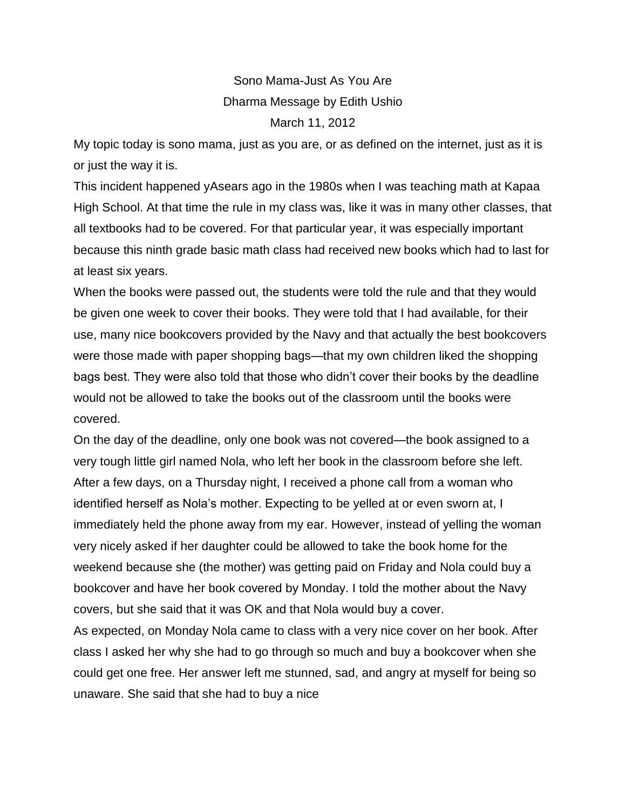Sono Mama-Just As You Are Dharma Message by Edith Ushio March 11, 2012

My topic today is sono mama, just as you are, or as defined on the internet, just as it is or just the way it is.

This incident happened yAsears ago in the 1980s when I was teaching math at Kapaa High School. At that time the rule in my class was, like it was in many other classes, that all textbooks had to be covered. For that particular year, it was especially important because this ninth grade basic math class had received new books which had to last for at least six years.

When the books were passed out, the students were told the rule and that they would be given one week to cover their books. They were told that I had available, for their use, many nice bookcovers provided by the Navy and that actually the best bookcovers were those made with paper shopping bags—that my own children liked the shopping bags best. They were also told that those who didn't cover their books by the deadline would not be allowed to take the books out of the classroom until the books were covered.

On the day of the deadline, only one book was not covered—the book assigned to a very tough little girl named Nola, who left her book in the classroom before she left. After a few days, on a Thursday night, I received a phone call from a woman who identified herself as Nola's mother. Expecting to be yelled at or even sworn at, I immediately held the phone away from my ear. However, instead of yelling the woman very nicely asked if her daughter could be allowed to take the book home for the weekend because she (the mother) was getting paid on Friday and Nola could buy a bookcover and have her book covered by Monday. I told the mother about the Navy covers, but she said that it was OK and that Nola would buy a cover.

As expected, on Monday Nola came to class with a very nice cover on her book. After class I asked her why she had to go through so much and buy a bookcover when she could get one free. Her answer left me stunned, sad, and angry at myself for being so unaware. She said that she had to buy a nice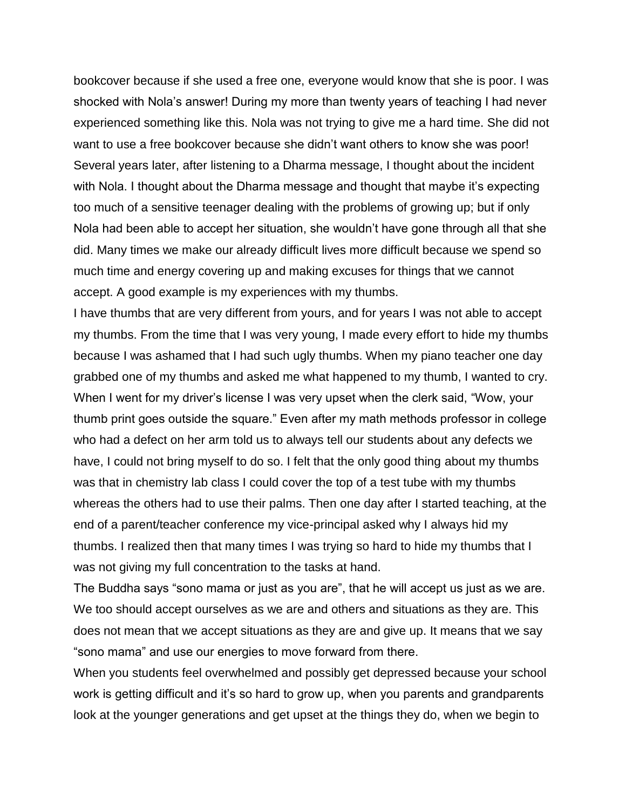bookcover because if she used a free one, everyone would know that she is poor. I was shocked with Nola's answer! During my more than twenty years of teaching I had never experienced something like this. Nola was not trying to give me a hard time. She did not want to use a free bookcover because she didn't want others to know she was poor! Several years later, after listening to a Dharma message, I thought about the incident with Nola. I thought about the Dharma message and thought that maybe it's expecting too much of a sensitive teenager dealing with the problems of growing up; but if only Nola had been able to accept her situation, she wouldn't have gone through all that she did. Many times we make our already difficult lives more difficult because we spend so much time and energy covering up and making excuses for things that we cannot accept. A good example is my experiences with my thumbs.

I have thumbs that are very different from yours, and for years I was not able to accept my thumbs. From the time that I was very young, I made every effort to hide my thumbs because I was ashamed that I had such ugly thumbs. When my piano teacher one day grabbed one of my thumbs and asked me what happened to my thumb, I wanted to cry. When I went for my driver's license I was very upset when the clerk said, "Wow, your thumb print goes outside the square." Even after my math methods professor in college who had a defect on her arm told us to always tell our students about any defects we have, I could not bring myself to do so. I felt that the only good thing about my thumbs was that in chemistry lab class I could cover the top of a test tube with my thumbs whereas the others had to use their palms. Then one day after I started teaching, at the end of a parent/teacher conference my vice-principal asked why I always hid my thumbs. I realized then that many times I was trying so hard to hide my thumbs that I was not giving my full concentration to the tasks at hand.

The Buddha says "sono mama or just as you are", that he will accept us just as we are. We too should accept ourselves as we are and others and situations as they are. This does not mean that we accept situations as they are and give up. It means that we say "sono mama" and use our energies to move forward from there.

When you students feel overwhelmed and possibly get depressed because your school work is getting difficult and it's so hard to grow up, when you parents and grandparents look at the younger generations and get upset at the things they do, when we begin to